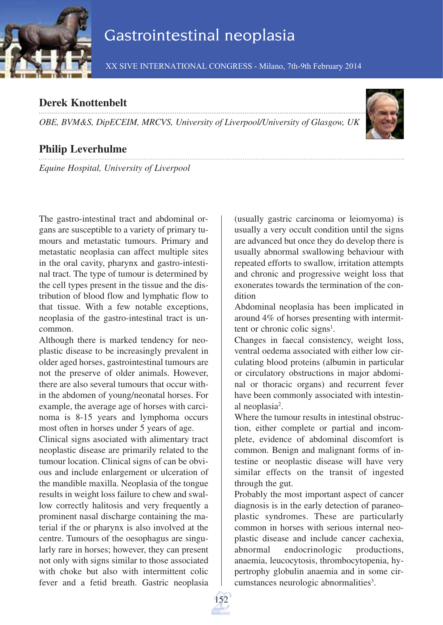

## Gastrointestinal neoplasia

XX SIVE INTERNATIONAL CONGRESS - Milano, 7th-9th February 2014

## **Derek Knottenbelt**

*OBE, BVM&S, DipECEIM, MRCVS, University of Liverpool/University of Glasgow, UK*



## **Philip Leverhulme**

*Equine Hospital, University of Liverpool*

The gastro-intestinal tract and abdominal organs are susceptible to a variety of primary tumours and metastatic tumours. Primary and metastatic neoplasia can affect multiple sites in the oral cavity, pharynx and gastro-intestinal tract. The type of tumour is determined by the cell types present in the tissue and the distribution of blood flow and lymphatic flow to that tissue. With a few notable exceptions, neoplasia of the gastro-intestinal tract is uncommon.

Although there is marked tendency for neoplastic disease to be increasingly prevalent in older aged horses, gastrointestinal tumours are not the preserve of older animals. However, there are also several tumours that occur within the abdomen of young/neonatal horses. For example, the average age of horses with carcinoma is 8-15 years and lymphoma occurs most often in horses under 5 years of age.

Clinical signs asociated with alimentary tract neoplastic disease are primarily related to the tumour location. Clinical signs of can be obvious and include enlargement or ulceration of the mandible maxilla. Neoplasia of the tongue results in weight loss failure to chew and swallow correctly halitosis and very frequently a prominent nasal discharge containing the material if the or pharynx is also involved at the centre. Tumours of the oesophagus are singularly rare in horses; however, they can present not only with signs similar to those associated with choke but also with intermittent colic fever and a fetid breath. Gastric neoplasia

(usually gastric carcinoma or leiomyoma) is usually a very occult condition until the signs are advanced but once they do develop there is usually abnormal swallowing behaviour with repeated efforts to swallow, irritation attempts and chronic and progressive weight loss that exonerates towards the termination of the condition

Abdominal neoplasia has been implicated in around 4% of horses presenting with intermittent or chronic colic signs<sup>1</sup>.

Changes in faecal consistency, weight loss, ventral oedema associated with either low circulating blood proteins (albumin in particular or circulatory obstructions in major abdominal or thoracic organs) and recurrent fever have been commonly associated with intestinal neoplasia<sup>2</sup>.

Where the tumour results in intestinal obstruction, either complete or partial and incomplete, evidence of abdominal discomfort is common. Benign and malignant forms of intestine or neoplastic disease will have very similar effects on the transit of ingested through the gut.

Probably the most important aspect of cancer diagnosis is in the early detection of paraneoplastic syndromes. These are particularly common in horses with serious internal neoplastic disease and include cancer cachexia, abnormal endocrinologic productions, anaemia, leucocytosis, thrombocytopenia, hypertrophy globulin anaemia and in some circumstances neurologic abnormalities<sup>3</sup>.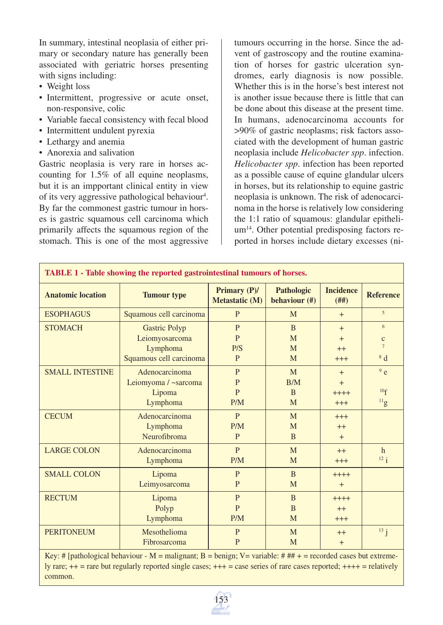In summary, intestinal neoplasia of either primary or secondary nature has generally been associated with geriatric horses presenting with signs including:

- Weight loss
- Intermittent, progressive or acute onset, non-responsive, colic
- Variable faecal consistency with fecal blood
- Intermittent undulent pyrexia
- Lethargy and anemia
- Anorexia and salivation

Gastric neoplasia is very rare in horses accounting for 1.5% of all equine neoplasms, but it is an impportant clinical entity in view of its very aggressive pathological behaviour<sup>4</sup>. By far the commonest gastric tumour in horses is gastric squamous cell carcinoma which primarily affects the squamous region of the stomach. This is one of the most aggressive tumours occurring in the horse. Since the advent of gastroscopy and the routine examination of horses for gastric ulceration syndromes, early diagnosis is now possible. Whether this is in the horse's best interest not is another issue because there is little that can be done about this disease at the present time. In humans, adenocarcinoma accounts for >90% of gastric neoplasms; risk factors associated with the development of human gastric neoplasia include *Helicobacter spp*. infection. *Helicobacter spp*. infection has been reported as a possible cause of equine glandular ulcers in horses, but its relationship to equine gastric neoplasia is unknown. The risk of adenocarcinoma in the horse is relatively low considering the 1:1 ratio of squamous: glandular epithelium14. Other potential predisposing factors reported in horses include dietary excesses (ni-

| TABLE 1 - Table showing the reported gastrointestinal tumours of horses. |                         |                                       |                                    |                             |                  |  |  |  |  |  |
|--------------------------------------------------------------------------|-------------------------|---------------------------------------|------------------------------------|-----------------------------|------------------|--|--|--|--|--|
| <b>Anatomic location</b>                                                 | <b>Tumour</b> type      | Primary (P)/<br><b>Metastatic (M)</b> | <b>Pathologic</b><br>behaviour (#) | <b>Incidence</b><br>$($ ##) | <b>Reference</b> |  |  |  |  |  |
| <b>ESOPHAGUS</b>                                                         | Squamous cell carcinoma | P                                     | M                                  | $+$                         | 5                |  |  |  |  |  |
| <b>STOMACH</b>                                                           | <b>Gastric Polyp</b>    | $\mathbf{P}$                          | <sub>B</sub>                       | $+$                         | 6                |  |  |  |  |  |
|                                                                          | Leiomyosarcoma          | $\overline{P}$                        | M                                  | $+$                         | $\mathbf{C}$     |  |  |  |  |  |
|                                                                          | Lymphoma                | P/S                                   | M                                  | $++$                        | $\overline{7}$   |  |  |  |  |  |
|                                                                          | Squamous cell carcinoma | P                                     | M                                  | $+++$                       | 8d               |  |  |  |  |  |
| <b>SMALL INTESTINE</b>                                                   | Adenocarcinoma          | P                                     | M                                  | $+$                         | 9e               |  |  |  |  |  |
|                                                                          | Leiomyoma / ~sarcoma    | $\overline{P}$                        | B/M                                | $+$                         |                  |  |  |  |  |  |
|                                                                          | Lipoma                  | $\overline{P}$                        | B                                  | $++++$                      | 10 <sub>f</sub>  |  |  |  |  |  |
|                                                                          | Lymphoma                | P/M                                   | M                                  | $+++$                       | $^{11}$ g        |  |  |  |  |  |
| <b>CECUM</b>                                                             | Adenocarcinoma          | P                                     | M                                  | $+++$                       |                  |  |  |  |  |  |
|                                                                          | Lymphoma                | P/M                                   | M                                  | $++$                        |                  |  |  |  |  |  |
|                                                                          | Neurofibroma            | P                                     | B                                  | $+$                         |                  |  |  |  |  |  |
| <b>LARGE COLON</b>                                                       | Adenocarcinoma          | $\mathbf{P}$                          | M                                  | $++$                        | $h$              |  |  |  |  |  |
|                                                                          | Lymphoma                | P/M                                   | M                                  | $+++$                       | $12_i$           |  |  |  |  |  |
| <b>SMALL COLON</b>                                                       | Lipoma                  | P                                     | B                                  | $++++$                      |                  |  |  |  |  |  |
|                                                                          | Leimyosarcoma           | P                                     | M                                  | $+$                         |                  |  |  |  |  |  |
| <b>RECTUM</b>                                                            | Lipoma                  | $\mathbf{P}$                          | B                                  | $++++$                      |                  |  |  |  |  |  |
|                                                                          | Polyp                   | $\overline{P}$                        | B                                  | $++$                        |                  |  |  |  |  |  |
|                                                                          | Lymphoma                | P/M                                   | M                                  | $+++$                       |                  |  |  |  |  |  |
| <b>PERITONEUM</b>                                                        | Mesothelioma            | $\mathbf{P}$                          | M                                  | $++$                        | $13 \frac{1}{1}$ |  |  |  |  |  |
|                                                                          | Fibrosarcoma            | P                                     | M                                  | $+$                         |                  |  |  |  |  |  |

Key: # [pathological behaviour - M = malignant; B = benign; V = variable: # ## + = recorded cases but extremely rare;  $++$  = rare but regularly reported single cases;  $++$  = case series of rare cases reported;  $++$  + = relatively common.

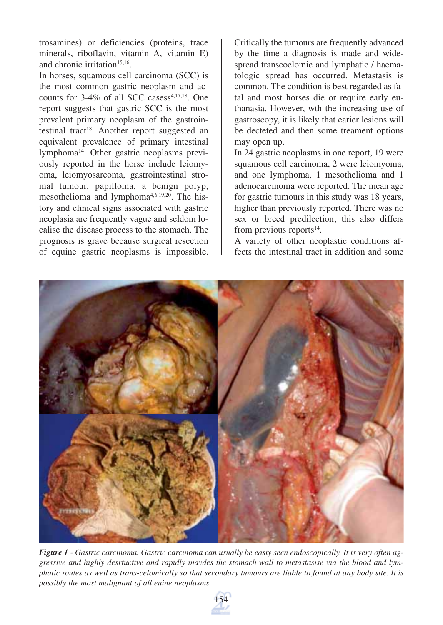trosamines) or deficiencies (proteins, trace minerals, riboflavin, vitamin A, vitamin E) and chronic irritation<sup>15,16</sup>.

In horses, squamous cell carcinoma (SCC) is the most common gastric neoplasm and accounts for  $3-4\%$  of all SCC cases  $4,17,18$ . One report suggests that gastric SCC is the most prevalent primary neoplasm of the gastrointestinal tract<sup>18</sup>. Another report suggested an equivalent prevalence of primary intestinal lymphoma14. Other gastric neoplasms previously reported in the horse include leiomyoma, leiomyosarcoma, gastrointestinal stromal tumour, papilloma, a benign polyp, mesothelioma and lymphoma<sup>4,6,19,20</sup>. The history and clinical signs associated with gastric neoplasia are frequently vague and seldom localise the disease process to the stomach. The prognosis is grave because surgical resection of equine gastric neoplasms is impossible.

Critically the tumours are frequently advanced by the time a diagnosis is made and widespread transcoelomic and lymphatic / haematologic spread has occurred. Metastasis is common. The condition is best regarded as fatal and most horses die or require early euthanasia. However, wth the increasing use of gastroscopy, it is likely that earier lesions will be decteted and then some treament options may open up.

In 24 gastric neoplasms in one report, 19 were squamous cell carcinoma, 2 were leiomyoma, and one lymphoma, 1 mesothelioma and 1 adenocarcinoma were reported. The mean age for gastric tumours in this study was 18 years, higher than previously reported. There was no sex or breed predilection; this also differs from previous reports $14$ .

A variety of other neoplastic conditions affects the intestinal tract in addition and some



*Figure 1 - Gastric carcinoma. Gastric carcinoma can usually be easiy seen endoscopically. It is very often aggressive and highly desrtuctive and rapidly inavdes the stomach wall to metastasise via the blood and lymphatic routes as well as trans-celomically so that secondary tumours are liable to found at any body site. It is possibly the most malignant of all euine neoplasms.*

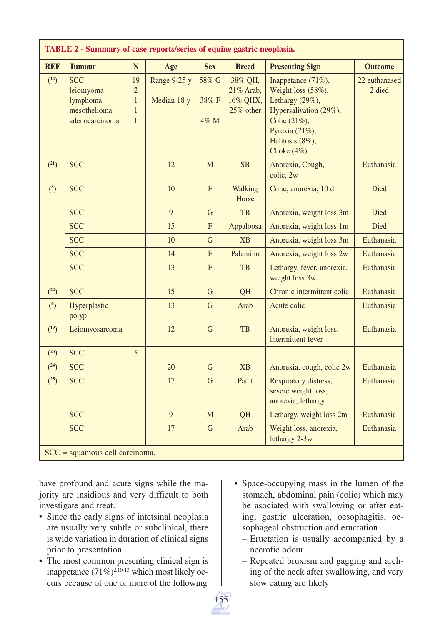| TABLE 2 - Summary of case reports/series of equine gastric neoplasia. |                                                                       |                                                                      |                             |                           |                                               |                                                                                                                                                             |                         |  |  |  |
|-----------------------------------------------------------------------|-----------------------------------------------------------------------|----------------------------------------------------------------------|-----------------------------|---------------------------|-----------------------------------------------|-------------------------------------------------------------------------------------------------------------------------------------------------------------|-------------------------|--|--|--|
| <b>REF</b>                                                            | <b>Tumour</b>                                                         | N                                                                    | Age                         | <b>Sex</b>                | <b>Breed</b>                                  | <b>Presenting Sign</b>                                                                                                                                      | <b>Outcome</b>          |  |  |  |
| (14)                                                                  | <b>SCC</b><br>leiomyoma<br>lymphoma<br>mesothelioma<br>adenocarcinoma | 19<br>$\overline{2}$<br>$\mathbf{1}$<br>$\mathbf{1}$<br>$\mathbf{1}$ | Range 9-25 y<br>Median 18 y | 58% G<br>38% F<br>4% M    | 38% QH,<br>21% Arab,<br>16% QHX,<br>25% other | Inappetance (71%),<br>Weight loss (58%),<br>Lethargy (29%),<br>Hypersalivation (29%),<br>Colic (21%),<br>Pyrexia (21%),<br>Halitosis (8%),<br>Choke $(4\%)$ | 22 euthanased<br>2 died |  |  |  |
| (21)                                                                  | <b>SCC</b>                                                            |                                                                      | 12                          | M                         | SB                                            | Anorexia, Cough,<br>colic, 2w                                                                                                                               | Euthanasia              |  |  |  |
| $(8)$                                                                 | <b>SCC</b>                                                            |                                                                      | 10                          | $\overline{\mathrm{F}}$   | Walking<br>Horse                              | Colic, anorexia, 10 d                                                                                                                                       | Died                    |  |  |  |
|                                                                       | <b>SCC</b>                                                            |                                                                      | $\overline{9}$              | G                         | <b>TB</b>                                     | Anorexia, weight loss 3m                                                                                                                                    | Died                    |  |  |  |
|                                                                       | <b>SCC</b>                                                            |                                                                      | 15                          | $\boldsymbol{\mathrm{F}}$ | Appaloosa                                     | Anorexia, weight loss 1m                                                                                                                                    | Died                    |  |  |  |
|                                                                       | <b>SCC</b>                                                            |                                                                      | 10                          | $\mathbf G$               | <b>XB</b>                                     | Anorexia, weight loss 3m                                                                                                                                    | Euthanasia              |  |  |  |
|                                                                       | <b>SCC</b>                                                            |                                                                      | 14                          | F                         | Palamino                                      | Anorexia, weight loss 2w                                                                                                                                    | Euthanasia              |  |  |  |
|                                                                       | <b>SCC</b>                                                            |                                                                      | 13                          | F                         | TB                                            | Lethargy, fever, anorexia,<br>weight loss 3w                                                                                                                | Euthanasia              |  |  |  |
| (22)                                                                  | <b>SCC</b>                                                            |                                                                      | 15                          | $\mathbf G$               | QH                                            | Chronic intermittent colic                                                                                                                                  | Euthanasia              |  |  |  |
| $6$                                                                   | Hyperplastic<br>polyp                                                 |                                                                      | 13                          | $\overline{G}$            | Arab                                          | Acute colic                                                                                                                                                 | Euthanasia              |  |  |  |
| (19)                                                                  | Leiomyosarcoma                                                        |                                                                      | 12                          | $\overline{G}$            | TB                                            | Anorexia, weight loss,<br>intermittent fever                                                                                                                | Euthanasia              |  |  |  |
| (23)                                                                  | <b>SCC</b>                                                            | 5                                                                    |                             |                           |                                               |                                                                                                                                                             |                         |  |  |  |
| (24)                                                                  | <b>SCC</b>                                                            |                                                                      | 20                          | G                         | <b>XB</b>                                     | Anorexia, cough, colic 2w                                                                                                                                   | Euthanasia              |  |  |  |
| (25)                                                                  | <b>SCC</b>                                                            |                                                                      | 17                          | G                         | Paint                                         | Respiratory distress,<br>severe weight loss,<br>anorexia, lethargy                                                                                          | Euthanasia              |  |  |  |
|                                                                       | <b>SCC</b>                                                            |                                                                      | 9                           | M                         | QH                                            | Lethargy, weight loss 2m                                                                                                                                    | Euthanasia              |  |  |  |
|                                                                       | <b>SCC</b>                                                            |                                                                      | 17                          | $\mathbf G$               | Arab                                          | Weight loss, anorexia,<br>lethargy 2-3w                                                                                                                     | Euthanasia              |  |  |  |
| $SCC =$ squamous cell carcinoma.                                      |                                                                       |                                                                      |                             |                           |                                               |                                                                                                                                                             |                         |  |  |  |

have profound and acute signs while the majority are insidious and very difficult to both investigate and treat.

- Since the early signs of intetsinal neoplasia are usually very subtle or subclinical, there is wide variation in duration of clinical signs prior to presentation.
- The most common presenting clinical sign is inappetance  $(71\%)^{2,10-13}$  which most likely occurs because of one or more of the following
- Space-occupying mass in the lumen of the stomach, abdominal pain (colic) which may be asociated with swallowing or after eating, gastric ulceration, oesophagitis, oesophageal obstruction and eructation
	- Eructation is usually accompanied by a necrotic odour
	- Repeated bruxism and gagging and arching of the neck after swallowing, and very slow eating are likely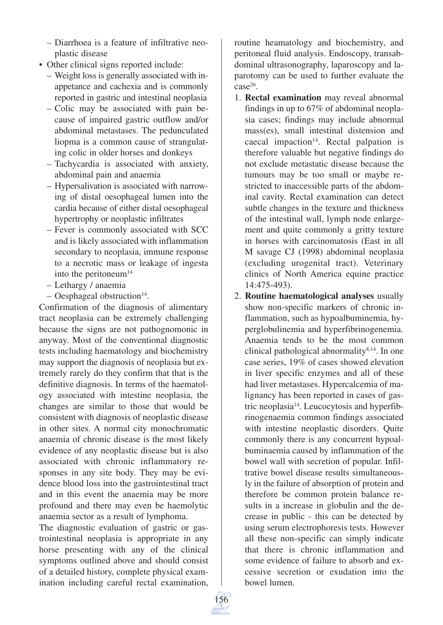- Diarrhoea is a feature of infiltrative neoplastic disease
- Other clinical signs reported include:
	- Weight loss is generally associated with inappetance and cachexia and is commonly reported in gastric and intestinal neoplasia
	- Colic may be associated with pain because of impaired gastric outflow and/or abdominal metastases. The pedunculated liopma is a common cause of strangulating colic in older horses and donkeys
	- Tachycardia is associated with anxiety, abdominal pain and anaemia
	- Hypersalivation is associated with narrowing of distal oesophageal lumen into the cardia because of either distal oesophageal hypertrophy or neoplastic infiltrates
	- Fever is commonly associated with SCC and is likely associated with inflammation secondary to neoplasia, immune response to a necrotic mass or leakage of ingesta into the peritoneum<sup>14</sup>
	- Lethargy / anaemia
	- $-$  Oesphageal obstruction<sup>14</sup>.

Confirmation of the diagnosis of alimentary tract neoplasia can be extremely challenging because the signs are not pathognomonic in anyway. Most of the conventional diagnostic tests including haematology and biochemistry may support the diagnosis of neoplasia but extremely rarely do they confirm that that is the definitive diagnosis. In terms of the haematology associated with intestine neoplasia, the changes are similar to those that would be consistent with diagnosis of neoplastic disease in other sites. A normal city monochromatic anaemia of chronic disease is the most likely evidence of any neoplastic disease but is also associated with chronic inflammatory responses in any site body. They may be evidence blood loss into the gastrointestinal tract and in this event the anaemia may be more profound and there may even be haemolytic anaemia sector as a result of lymphoma.

The diagnostic evaluation of gastric or gastrointestinal neoplasia is appropriate in any horse presenting with any of the clinical symptoms outlined above and should consist of a detailed history, complete physical examination including careful rectal examination,

routine heamatology and biochemistry, and peritoneal fluid analysis. Endoscopy, transabdominal ultrasonography, laparoscopy and laparotomy can be used to further evaluate the  $case<sup>26</sup>$ 

- 1. **Rectal examination** may reveal abnormal findings in up to 67% of abdominal neoplasia cases; findings may include abnormal mass(es), small intestinal distension and caecal impaction<sup>14</sup>. Rectal palpation is therefore valuable but negative findings do not exclude metastatic disease because the tumours may be too small or maybe restricted to inaccessible parts of the abdominal cavity. Rectal examination can detect subtle changes in the texture and thickness of the intestinal wall, lymph node enlargement and quite commonly a gritty texture in horses with carcinomatosis (East in all M savage CJ (1998) abdominal neoplasia (excluding urogenital tract). Veterinary clinics of North America equine practice 14:475-493).
- 2. **Routine haematological analyses** usually show non-specific markers of chronic inflammation, such as hypoalbuminemia, hyperglobulinemia and hyperfibrinogenemia. Anaemia tends to be the most common clinical pathological abnormality8,14. In one case series, 19% of cases showed elevation in liver specific enzymes and all of these had liver metastases. Hypercalcemia of malignancy has been reported in cases of gastric neoplasia14. Leucocytosis and hyperfibrinogenaemia common findings associated with intestine neoplastic disorders. Quite commonly there is any concurrent hypoalbuminaemia caused by inflammation of the bowel wall with secretion of popular. Infiltrative bowel disease results simultaneously in the failure of absorption of protein and therefore be common protein balance results in a increase in globulin and the decrease in public - this can be detected by using serum electrophoresis tests. However all these non-specific can simply indicate that there is chronic inflammation and some evidence of failure to absorb and excessive secretion or exudation into the bowel lumen.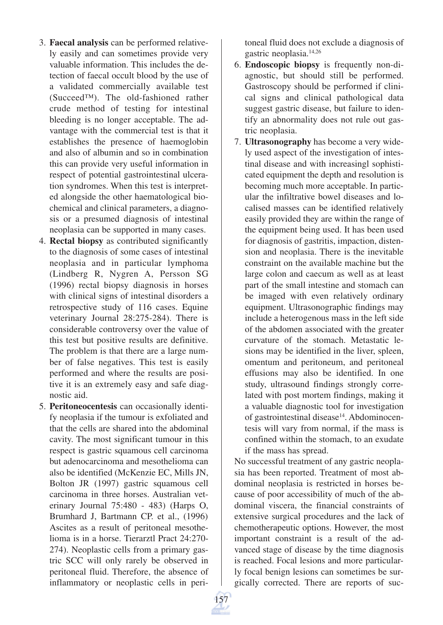- 3. **Faecal analysis** can be performed relatively easily and can sometimes provide very valuable information. This includes the detection of faecal occult blood by the use of a validated commercially available test (Succeed™). The old-fashioned rather crude method of testing for intestinal bleeding is no longer acceptable. The advantage with the commercial test is that it establishes the presence of haemoglobin and also of albumin and so in combination this can provide very useful information in respect of potential gastrointestinal ulceration syndromes. When this test is interpreted alongside the other haematological biochemical and clinical parameters, a diagnosis or a presumed diagnosis of intestinal neoplasia can be supported in many cases.
- 4. **Rectal biopsy** as contributed significantly to the diagnosis of some cases of intestinal neoplasia and in particular lymphoma (Lindberg R, Nygren A, Persson SG (1996) rectal biopsy diagnosis in horses with clinical signs of intestinal disorders a retrospective study of 116 cases. Equine veterinary Journal 28:275-284). There is considerable controversy over the value of this test but positive results are definitive. The problem is that there are a large number of false negatives. This test is easily performed and where the results are positive it is an extremely easy and safe diagnostic aid.
- 5. **Peritoneocentesis** can occasionally identify neoplasia if the tumour is exfoliated and that the cells are shared into the abdominal cavity. The most significant tumour in this respect is gastric squamous cell carcinoma but adenocarcinoma and mesothelioma can also be identified (McKenzie EC, Mills JN, Bolton JR (1997) gastric squamous cell carcinoma in three horses. Australian veterinary Journal 75:480 - 483) (Harps O, Brumhard J, Bartmann CP. et al., (1996) Ascites as a result of peritoneal mesothelioma is in a horse. Tierarztl Pract 24:270- 274). Neoplastic cells from a primary gastric SCC will only rarely be observed in peritoneal fluid. Therefore, the absence of inflammatory or neoplastic cells in peri-

toneal fluid does not exclude a diagnosis of gastric neoplasia.14,26

- 6. **Endoscopic biopsy** is frequently non-diagnostic, but should still be performed. Gastroscopy should be performed if clinical signs and clinical pathological data suggest gastric disease, but failure to identify an abnormality does not rule out gastric neoplasia.
- 7. **Ultrasonography** has become a very widely used aspect of the investigation of intestinal disease and with increasingl sophisticated equipment the depth and resolution is becoming much more acceptable. In particular the infiltrative bowel diseases and localised masses can be identified relatively easily provided they are within the range of the equipment being used. It has been used for diagnosis of gastritis, impaction, distension and neoplasia. There is the inevitable constraint on the available machine but the large colon and caecum as well as at least part of the small intestine and stomach can be imaged with even relatively ordinary equipment. Ultrasonographic findings may include a heterogenous mass in the left side of the abdomen associated with the greater curvature of the stomach. Metastatic lesions may be identified in the liver, spleen, omentum and peritoneum, and peritoneal effusions may also be identified. In one study, ultrasound findings strongly correlated with post mortem findings, making it a valuable diagnostic tool for investigation of gastrointestinal disease<sup>14</sup>. Abdominocentesis will vary from normal, if the mass is confined within the stomach, to an exudate if the mass has spread.

No successful treatment of any gastric neoplasia has been reported. Treatment of most abdominal neoplasia is restricted in horses because of poor accessibility of much of the abdominal viscera, the financial constraints of extensive surgical procedures and the lack of chemotherapeutic options. However, the most important constraint is a result of the advanced stage of disease by the time diagnosis is reached. Focal lesions and more particularly focal benign lesions can sometimes be surgically corrected. There are reports of suc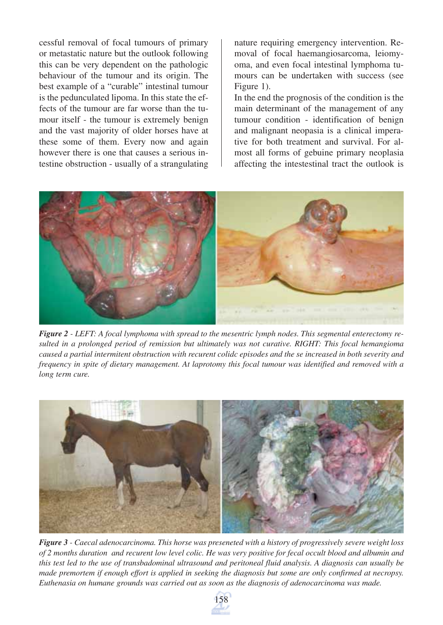cessful removal of focal tumours of primary or metastatic nature but the outlook following this can be very dependent on the pathologic behaviour of the tumour and its origin. The best example of a "curable" intestinal tumour is the pedunculated lipoma. In this state the effects of the tumour are far worse than the tumour itself - the tumour is extremely benign and the vast majority of older horses have at these some of them. Every now and again however there is one that causes a serious intestine obstruction - usually of a strangulating nature requiring emergency intervention. Removal of focal haemangiosarcoma, leiomyoma, and even focal intestinal lymphoma tumours can be undertaken with success (see Figure 1).

In the end the prognosis of the condition is the main determinant of the management of any tumour condition - identification of benign and malignant neopasia is a clinical imperative for both treatment and survival. For almost all forms of gebuine primary neoplasia affecting the intestestinal tract the outlook is



*Figure 2 - LEFT: A focal lymphoma with spread to the mesentric lymph nodes. This segmental enterectomy resulted in a prolonged period of remission but ultimately was not curative. RIGHT: This focal hemangioma caused a partial intermitent obstruction with recurent colidc episodes and the se increased in both severity and frequency in spite of dietary management. At laprotomy this focal tumour was identified and removed with a long term cure.*



*Figure 3 - Caecal adenocarcinoma. This horse was preseneted with a history of progressively severe weight loss of 2 months duration and recurent low level colic. He was very positive for fecal occult blood and albumin and this test led to the use of transbadominal ultrasound and peritoneal fluid analysis. A diagnosis can usually be made premortem if enough effort is applied in seeking the diagnosis but some are only confirmed at necropsy. Euthenasia on humane grounds was carried out as soon as the diagnosis of adenocarcinoma was made.*

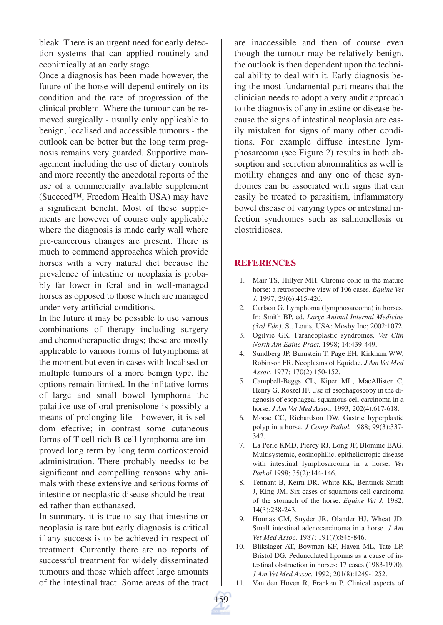bleak. There is an urgent need for early detection systems that can applied routinely and econimically at an early stage.

Once a diagnosis has been made however, the future of the horse will depend entirely on its condition and the rate of progression of the clinical problem. Where the tumour can be removed surgically - usually only applicable to benign, localised and accessible tumours - the outlook can be better but the long term prognosis remains very guarded. Supportive management including the use of dietary controls and more recently the anecdotal reports of the use of a commercially available supplement (Succeed™, Freedom Health USA) may have a significant benefit. Most of these supplements are however of course only applicable where the diagnosis is made early wall where pre-cancerous changes are present. There is much to commend approaches which provide horses with a very natural diet because the prevalence of intestine or neoplasia is probably far lower in feral and in well-managed horses as opposed to those which are managed under very artificial conditions.

In the future it may be possible to use various combinations of therapy including surgery and chemotherapuetic drugs; these are mostly applicable to various forms of lutymphoma at the moment but even in cases with localised or multiple tumours of a more benign type, the options remain limited. In the infitative forms of large and small bowel lymphoma the palaitive use of oral prenisolone is possibly a means of prolonging life - however, it is seldom efective; in contrast some cutaneous forms of T-cell rich B-cell lymphoma are improved long term by long term corticosteroid administration. There probably needss to be significant and compelling reasons why animals with these extensive and serious forms of intestine or neoplastic disease should be treated rather than euthanased.

In summary, it is true to say that intestine or neoplasia is rare but early diagnosis is critical if any success is to be achieved in respect of treatment. Currently there are no reports of successful treatment for widely disseminated tumours and those which affect large amounts of the intestinal tract. Some areas of the tract

are inaccessible and then of course even though the tumour may be relatively benign, the outlook is then dependent upon the technical ability to deal with it. Early diagnosis being the most fundamental part means that the clinician needs to adopt a very audit approach to the diagnosis of any intestine or disease because the signs of intestinal neoplasia are easily mistaken for signs of many other conditions. For example diffuse intestine lymphosarcoma (see Figure 2) results in both absorption and secretion abnormalities as well is motility changes and any one of these syndromes can be associated with signs that can easily be treated to parasitism, inflammatory bowel disease of varying types or intestinal infection syndromes such as salmonellosis or clostridioses.

## **REFERENCES**

- 1. Mair TS, Hillyer MH. Chronic colic in the mature horse: a retrospective view of 106 cases. *Equine Vet J.* 1997; 29(6):415-420.
- 2. Carlson G. Lymphoma (lymphosarcoma) in horses. In: Smith BP, ed. *Large Animal Internal Medicine (3rd Edn)*. St. Louis, USA: Mosby Inc; 2002:1072.
- 3. Ogilvie GK. Paraneoplastic syndromes. *Vet Clin North Am Eqine Pract.* 1998; 14:439-449.
- 4. Sundberg JP, Burnstein T, Page EH, Kirkham WW, Robinson FR. Neoplasms of Equidae. *J Am Vet Med Assoc.* 1977; 170(2):150-152.
- 5. Campbell-Beggs CL, Kiper ML, MacAllister C, Henry G, Roszel JF. Use of esophagoscopy in the diagnosis of esophageal squamous cell carcinoma in a horse. *J Am Vet Med Assoc.* 1993; 202(4):617-618.
- 6. Morse CC, Richardson DW. Gastric hyperplastic polyp in a horse. *J Comp Pathol.* 1988; 99(3):337- 342.
- 7. La Perle KMD, Piercy RJ, Long JF, Blomme EAG. Multisystemic, eosinophilic, epitheliotropic disease with intestinal lymphosarcoma in a horse. *Vet Pathol* 1998; 35(2):144-146.
- 8. Tennant B, Keirn DR, White KK, Bentinck-Smith J, King JM. Six cases of squamous cell carcinoma of the stomach of the horse. *Equine Vet J.* 1982; 14(3):238-243.
- 9. Honnas CM, Snyder JR, Olander HJ, Wheat JD. Small intestinal adenocarcinoma in a horse. *J Am Vet Med Assoc.* 1987; 191(7):845-846.
- 10. Blikslager AT, Bowman KF, Haven ML, Tate LP, Bristol DG. Pedunculated lipomas as a cause of intestinal obstruction in horses: 17 cases (1983-1990). *J Am Vet Med Assoc.* 1992; 201(8):1249-1252.
- 11. Van den Hoven R, Franken P. Clinical aspects of